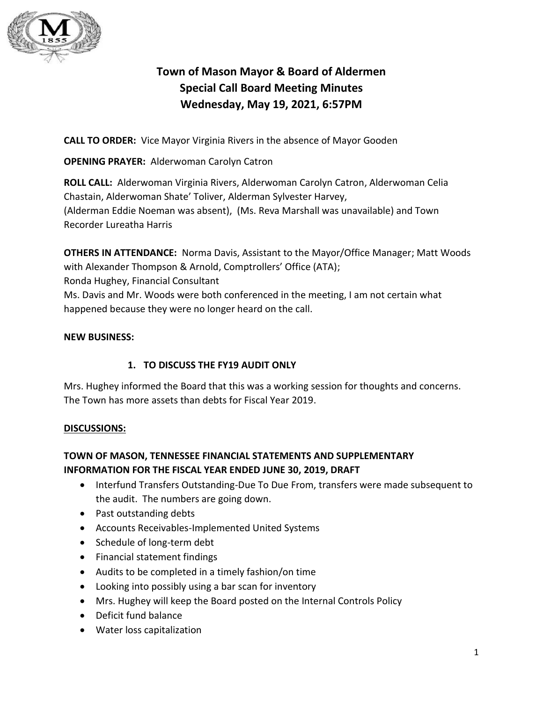

# **Town of Mason Mayor & Board of Aldermen Special Call Board Meeting Minutes Wednesday, May 19, 2021, 6:57PM**

**CALL TO ORDER:** Vice Mayor Virginia Rivers in the absence of Mayor Gooden

**OPENING PRAYER:** Alderwoman Carolyn Catron

**ROLL CALL:** Alderwoman Virginia Rivers, Alderwoman Carolyn Catron, Alderwoman Celia Chastain, Alderwoman Shate' Toliver, Alderman Sylvester Harvey, (Alderman Eddie Noeman was absent), (Ms. Reva Marshall was unavailable) and Town Recorder Lureatha Harris

**OTHERS IN ATTENDANCE:** Norma Davis, Assistant to the Mayor/Office Manager; Matt Woods with Alexander Thompson & Arnold, Comptrollers' Office (ATA); Ronda Hughey, Financial Consultant Ms. Davis and Mr. Woods were both conferenced in the meeting, I am not certain what happened because they were no longer heard on the call.

#### **NEW BUSINESS:**

### **1. TO DISCUSS THE FY19 AUDIT ONLY**

Mrs. Hughey informed the Board that this was a working session for thoughts and concerns. The Town has more assets than debts for Fiscal Year 2019.

#### **DISCUSSIONS:**

## **TOWN OF MASON, TENNESSEE FINANCIAL STATEMENTS AND SUPPLEMENTARY INFORMATION FOR THE FISCAL YEAR ENDED JUNE 30, 2019, DRAFT**

- Interfund Transfers Outstanding-Due To Due From, transfers were made subsequent to the audit. The numbers are going down.
- Past outstanding debts
- Accounts Receivables-Implemented United Systems
- Schedule of long-term debt
- Financial statement findings
- Audits to be completed in a timely fashion/on time
- Looking into possibly using a bar scan for inventory
- Mrs. Hughey will keep the Board posted on the Internal Controls Policy
- Deficit fund balance
- Water loss capitalization